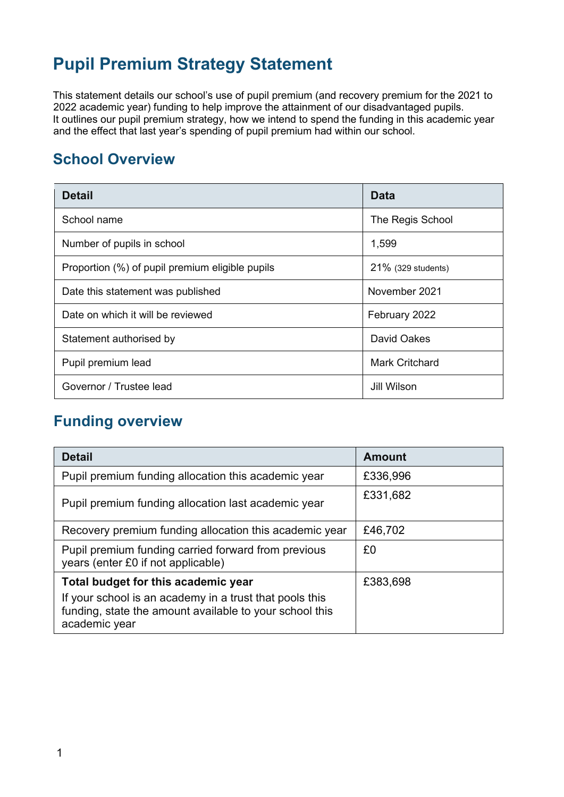# **Pupil Premium Strategy Statement**

This statement details our school's use of pupil premium (and recovery premium for the 2021 to 2022 academic year) funding to help improve the attainment of our disadvantaged pupils. It outlines our pupil premium strategy, how we intend to spend the funding in this academic year and the effect that last year's spending of pupil premium had within our school.

### **School Overview**

| <b>Detail</b>                                   | Data                  |  |
|-------------------------------------------------|-----------------------|--|
| School name                                     | The Regis School      |  |
| Number of pupils in school                      | 1,599                 |  |
| Proportion (%) of pupil premium eligible pupils | 21% (329 students)    |  |
| Date this statement was published               | November 2021         |  |
| Date on which it will be reviewed               | February 2022         |  |
| Statement authorised by                         | David Oakes           |  |
| Pupil premium lead                              | <b>Mark Critchard</b> |  |
| Governor / Trustee lead                         | Jill Wilson           |  |

### **Funding overview**

| <b>Detail</b>                                                                                                                                                              | <b>Amount</b> |
|----------------------------------------------------------------------------------------------------------------------------------------------------------------------------|---------------|
| Pupil premium funding allocation this academic year                                                                                                                        | £336,996      |
| Pupil premium funding allocation last academic year                                                                                                                        | £331,682      |
| Recovery premium funding allocation this academic year                                                                                                                     | £46,702       |
| Pupil premium funding carried forward from previous<br>years (enter £0 if not applicable)                                                                                  | £0            |
| Total budget for this academic year<br>If your school is an academy in a trust that pools this<br>funding, state the amount available to your school this<br>academic year | £383,698      |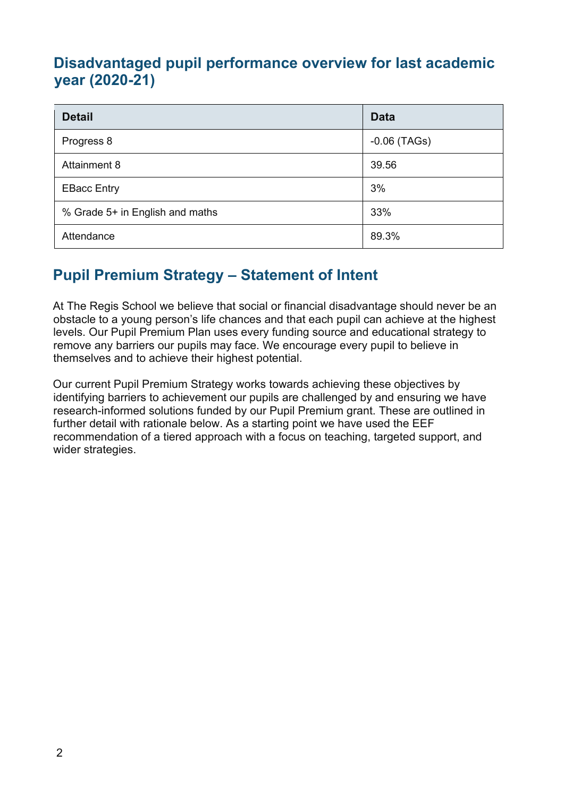### **Disadvantaged pupil performance overview for last academic year (2020-21)**

| <b>Detail</b>                   | <b>Data</b>    |
|---------------------------------|----------------|
| Progress 8                      | $-0.06$ (TAGs) |
| Attainment 8                    | 39.56          |
| <b>EBacc Entry</b>              | 3%             |
| % Grade 5+ in English and maths | 33%            |
| Attendance                      | 89.3%          |

## **Pupil Premium Strategy – Statement of Intent**

At The Regis School we believe that social or financial disadvantage should never be an obstacle to a young person's life chances and that each pupil can achieve at the highest levels. Our Pupil Premium Plan uses every funding source and educational strategy to remove any barriers our pupils may face. We encourage every pupil to believe in themselves and to achieve their highest potential.

Our current Pupil Premium Strategy works towards achieving these objectives by identifying barriers to achievement our pupils are challenged by and ensuring we have research-informed solutions funded by our Pupil Premium grant. These are outlined in further detail with rationale below. As a starting point we have used the EEF recommendation of a tiered approach with a focus on teaching, targeted support, and wider strategies.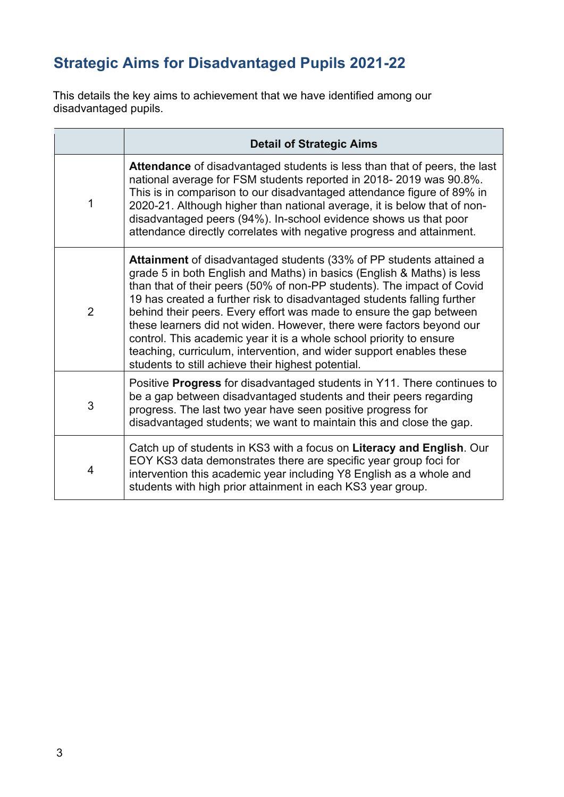## **Strategic Aims for Disadvantaged Pupils 2021-22**

This details the key aims to achievement that we have identified among our disadvantaged pupils.

|                | <b>Detail of Strategic Aims</b>                                                                                                                                                                                                                                                                                                                                                                                                                                                                                                                                                                                                                       |
|----------------|-------------------------------------------------------------------------------------------------------------------------------------------------------------------------------------------------------------------------------------------------------------------------------------------------------------------------------------------------------------------------------------------------------------------------------------------------------------------------------------------------------------------------------------------------------------------------------------------------------------------------------------------------------|
| 1              | <b>Attendance</b> of disadvantaged students is less than that of peers, the last<br>national average for FSM students reported in 2018-2019 was 90.8%.<br>This is in comparison to our disadvantaged attendance figure of 89% in<br>2020-21. Although higher than national average, it is below that of non-<br>disadvantaged peers (94%). In-school evidence shows us that poor<br>attendance directly correlates with negative progress and attainment.                                                                                                                                                                                             |
| $\overline{2}$ | Attainment of disadvantaged students (33% of PP students attained a<br>grade 5 in both English and Maths) in basics (English & Maths) is less<br>than that of their peers (50% of non-PP students). The impact of Covid<br>19 has created a further risk to disadvantaged students falling further<br>behind their peers. Every effort was made to ensure the gap between<br>these learners did not widen. However, there were factors beyond our<br>control. This academic year it is a whole school priority to ensure<br>teaching, curriculum, intervention, and wider support enables these<br>students to still achieve their highest potential. |
| 3              | Positive Progress for disadvantaged students in Y11. There continues to<br>be a gap between disadvantaged students and their peers regarding<br>progress. The last two year have seen positive progress for<br>disadvantaged students; we want to maintain this and close the gap.                                                                                                                                                                                                                                                                                                                                                                    |
| 4              | Catch up of students in KS3 with a focus on Literacy and English. Our<br>EOY KS3 data demonstrates there are specific year group foci for<br>intervention this academic year including Y8 English as a whole and<br>students with high prior attainment in each KS3 year group.                                                                                                                                                                                                                                                                                                                                                                       |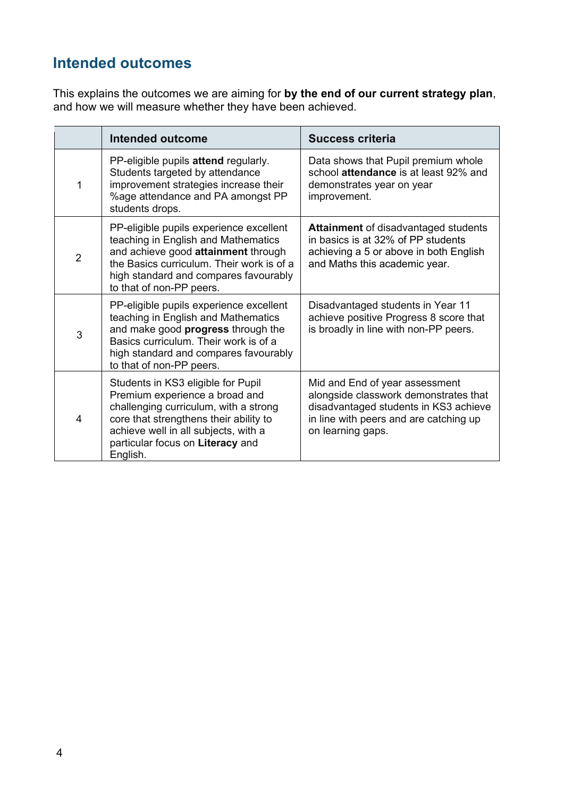## **Intended outcomes**

This explains the outcomes we are aiming for **by the end of our current strategy plan**, and how we will measure whether they have been achieved.

|                | <b>Intended outcome</b>                                                                                                                                                                                                                         | <b>Success criteria</b>                                                                                                                                                         |
|----------------|-------------------------------------------------------------------------------------------------------------------------------------------------------------------------------------------------------------------------------------------------|---------------------------------------------------------------------------------------------------------------------------------------------------------------------------------|
| 1              | PP-eligible pupils attend regularly.<br>Students targeted by attendance<br>improvement strategies increase their<br>%age attendance and PA amongst PP<br>students drops.                                                                        | Data shows that Pupil premium whole<br>school attendance is at least 92% and<br>demonstrates year on year<br>improvement.                                                       |
| $\overline{2}$ | PP-eligible pupils experience excellent<br>teaching in English and Mathematics<br>and achieve good attainment through<br>the Basics curriculum. Their work is of a<br>high standard and compares favourably<br>to that of non-PP peers.         | <b>Attainment</b> of disadvantaged students<br>in basics is at 32% of PP students<br>achieving a 5 or above in both English<br>and Maths this academic year.                    |
| 3              | PP-eligible pupils experience excellent<br>teaching in English and Mathematics<br>and make good <b>progress</b> through the<br>Basics curriculum. Their work is of a<br>high standard and compares favourably<br>to that of non-PP peers.       | Disadvantaged students in Year 11<br>achieve positive Progress 8 score that<br>is broadly in line with non-PP peers.                                                            |
| $\overline{4}$ | Students in KS3 eligible for Pupil<br>Premium experience a broad and<br>challenging curriculum, with a strong<br>core that strengthens their ability to<br>achieve well in all subjects, with a<br>particular focus on Literacy and<br>English. | Mid and End of year assessment<br>alongside classwork demonstrates that<br>disadvantaged students in KS3 achieve<br>in line with peers and are catching up<br>on learning gaps. |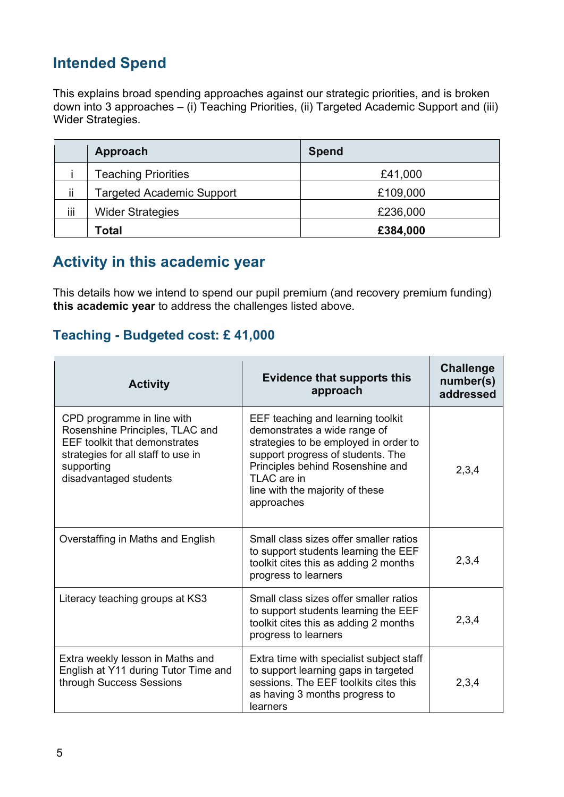### **Intended Spend**

This explains broad spending approaches against our strategic priorities, and is broken down into 3 approaches – (i) Teaching Priorities, (ii) Targeted Academic Support and (iii) Wider Strategies.

|       | Approach                         | <b>Spend</b> |
|-------|----------------------------------|--------------|
|       | <b>Teaching Priorities</b>       | £41,000      |
| <br>П | <b>Targeted Academic Support</b> | £109,000     |
| iii   | <b>Wider Strategies</b>          | £236,000     |
|       | <b>Total</b>                     | £384,000     |

#### **Activity in this academic year**

This details how we intend to spend our pupil premium (and recovery premium funding) **this academic year** to address the challenges listed above.

#### **Teaching - Budgeted cost: £ 41,000**

| <b>Activity</b>                                                                                                                                                                     | <b>Evidence that supports this</b><br>approach                                                                                                                                                                                                      | <b>Challenge</b><br>number(s)<br>addressed |
|-------------------------------------------------------------------------------------------------------------------------------------------------------------------------------------|-----------------------------------------------------------------------------------------------------------------------------------------------------------------------------------------------------------------------------------------------------|--------------------------------------------|
| CPD programme in line with<br>Rosenshine Principles, TLAC and<br><b>EEF toolkit that demonstrates</b><br>strategies for all staff to use in<br>supporting<br>disadvantaged students | EEF teaching and learning toolkit<br>demonstrates a wide range of<br>strategies to be employed in order to<br>support progress of students. The<br>Principles behind Rosenshine and<br>TLAC are in<br>line with the majority of these<br>approaches | 2,3,4                                      |
| Overstaffing in Maths and English                                                                                                                                                   | Small class sizes offer smaller ratios<br>to support students learning the EEF<br>toolkit cites this as adding 2 months<br>progress to learners                                                                                                     | 2,3,4                                      |
| Literacy teaching groups at KS3                                                                                                                                                     | Small class sizes offer smaller ratios<br>to support students learning the EEF<br>toolkit cites this as adding 2 months<br>progress to learners                                                                                                     | 2,3,4                                      |
| Extra weekly lesson in Maths and<br>English at Y11 during Tutor Time and<br>through Success Sessions                                                                                | Extra time with specialist subject staff<br>to support learning gaps in targeted<br>sessions. The EEF toolkits cites this<br>as having 3 months progress to<br>learners                                                                             | 2,3,4                                      |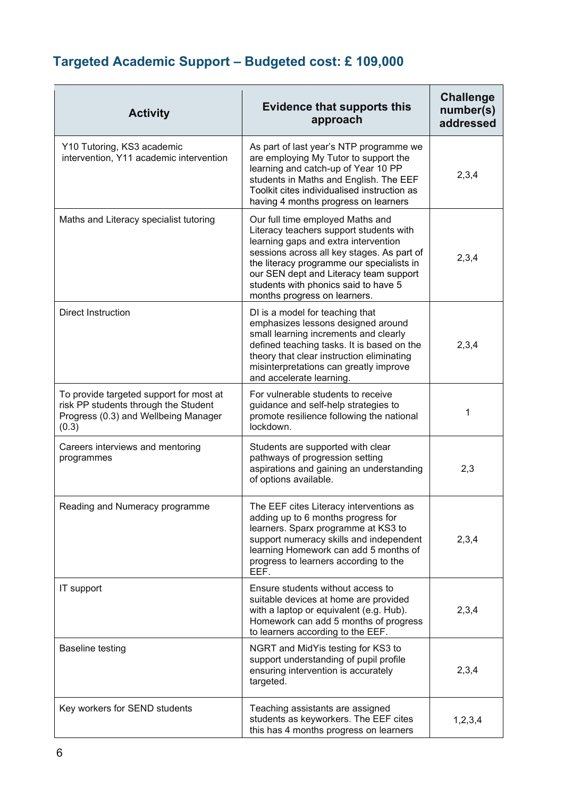## **Targeted Academic Support – Budgeted cost: £ 109,000**

| <b>Activity</b>                                                                                                                  | <b>Evidence that supports this</b><br>approach                                                                                                                                                                                                                                                                                   | <b>Challenge</b><br>number(s)<br>addressed |
|----------------------------------------------------------------------------------------------------------------------------------|----------------------------------------------------------------------------------------------------------------------------------------------------------------------------------------------------------------------------------------------------------------------------------------------------------------------------------|--------------------------------------------|
| Y10 Tutoring, KS3 academic<br>intervention, Y11 academic intervention                                                            | As part of last year's NTP programme we<br>are employing My Tutor to support the<br>learning and catch-up of Year 10 PP<br>students in Maths and English. The EEF<br>Toolkit cites individualised instruction as<br>having 4 months progress on learners                                                                         | 2,3,4                                      |
| Maths and Literacy specialist tutoring                                                                                           | Our full time employed Maths and<br>Literacy teachers support students with<br>learning gaps and extra intervention<br>sessions across all key stages. As part of<br>the literacy programme our specialists in<br>our SEN dept and Literacy team support<br>students with phonics said to have 5<br>months progress on learners. | 2,3,4                                      |
| <b>Direct Instruction</b>                                                                                                        | DI is a model for teaching that<br>emphasizes lessons designed around<br>small learning increments and clearly<br>defined teaching tasks. It is based on the<br>theory that clear instruction eliminating<br>misinterpretations can greatly improve<br>and accelerate learning.                                                  | 2,3,4                                      |
| To provide targeted support for most at<br>risk PP students through the Student<br>Progress (0.3) and Wellbeing Manager<br>(0.3) | For vulnerable students to receive<br>guidance and self-help strategies to<br>promote resilience following the national<br>lockdown.                                                                                                                                                                                             | 1                                          |
| Careers interviews and mentoring<br>programmes                                                                                   | Students are supported with clear<br>pathways of progression setting<br>aspirations and gaining an understanding<br>of options available.                                                                                                                                                                                        | 2,3                                        |
| Reading and Numeracy programme                                                                                                   | The EEF cites Literacy interventions as<br>adding up to 6 months progress for<br>learners. Sparx programme at KS3 to<br>support numeracy skills and independent<br>learning Homework can add 5 months of<br>progress to learners according to the<br>EEF.                                                                        | 2,3,4                                      |
| IT support                                                                                                                       | Ensure students without access to<br>suitable devices at home are provided<br>with a laptop or equivalent (e.g. Hub).<br>Homework can add 5 months of progress<br>to learners according to the EEF.                                                                                                                              | 2,3,4                                      |
| <b>Baseline testing</b>                                                                                                          | NGRT and MidYis testing for KS3 to<br>support understanding of pupil profile<br>ensuring intervention is accurately<br>targeted.                                                                                                                                                                                                 | 2,3,4                                      |
| Key workers for SEND students                                                                                                    | Teaching assistants are assigned<br>students as keyworkers. The EEF cites<br>this has 4 months progress on learners                                                                                                                                                                                                              | 1,2,3,4                                    |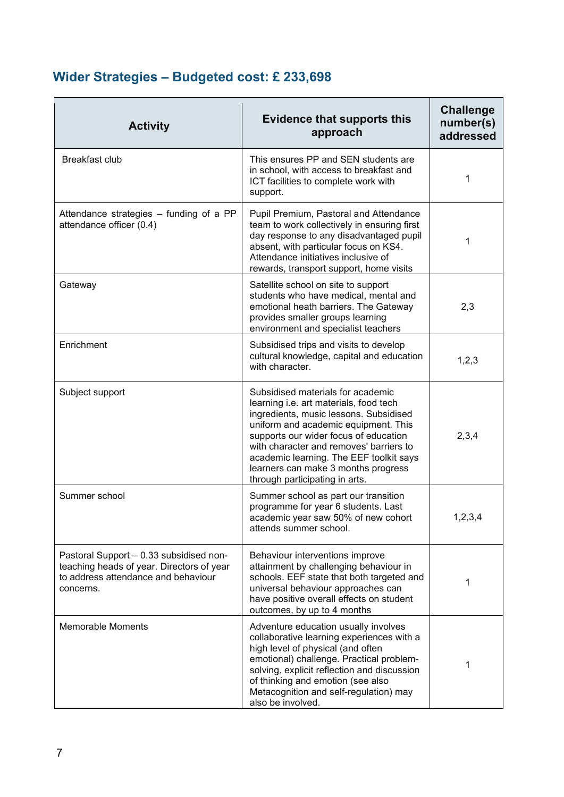## **Wider Strategies – Budgeted cost: £ 233,698**

| <b>Activity</b>                                                                                                                          | <b>Evidence that supports this</b><br>approach                                                                                                                                                                                                                                                                                                                        | <b>Challenge</b><br>number(s)<br>addressed |
|------------------------------------------------------------------------------------------------------------------------------------------|-----------------------------------------------------------------------------------------------------------------------------------------------------------------------------------------------------------------------------------------------------------------------------------------------------------------------------------------------------------------------|--------------------------------------------|
| <b>Breakfast club</b>                                                                                                                    | This ensures PP and SEN students are<br>in school, with access to breakfast and<br>ICT facilities to complete work with<br>support.                                                                                                                                                                                                                                   | 1                                          |
| Attendance strategies - funding of a PP<br>attendance officer (0.4)                                                                      | Pupil Premium, Pastoral and Attendance<br>team to work collectively in ensuring first<br>day response to any disadvantaged pupil<br>absent, with particular focus on KS4.<br>Attendance initiatives inclusive of<br>rewards, transport support, home visits                                                                                                           | 1                                          |
| Gateway                                                                                                                                  | Satellite school on site to support<br>students who have medical, mental and<br>emotional heath barriers. The Gateway<br>provides smaller groups learning<br>environment and specialist teachers                                                                                                                                                                      | 2,3                                        |
| Enrichment                                                                                                                               | Subsidised trips and visits to develop<br>cultural knowledge, capital and education<br>with character.                                                                                                                                                                                                                                                                | 1,2,3                                      |
| Subject support                                                                                                                          | Subsidised materials for academic<br>learning i.e. art materials, food tech<br>ingredients, music lessons. Subsidised<br>uniform and academic equipment. This<br>supports our wider focus of education<br>with character and removes' barriers to<br>academic learning. The EEF toolkit says<br>learners can make 3 months progress<br>through participating in arts. | 2,3,4                                      |
| Summer school                                                                                                                            | Summer school as part our transition<br>programme for year 6 students. Last<br>academic year saw 50% of new cohort<br>attends summer school.                                                                                                                                                                                                                          | 1,2,3,4                                    |
| Pastoral Support - 0.33 subsidised non-<br>teaching heads of year. Directors of year<br>to address attendance and behaviour<br>concerns. | Behaviour interventions improve<br>attainment by challenging behaviour in<br>schools. EEF state that both targeted and<br>universal behaviour approaches can<br>have positive overall effects on student<br>outcomes, by up to 4 months                                                                                                                               | 1                                          |
| <b>Memorable Moments</b>                                                                                                                 | Adventure education usually involves<br>collaborative learning experiences with a<br>high level of physical (and often<br>emotional) challenge. Practical problem-<br>solving, explicit reflection and discussion<br>of thinking and emotion (see also<br>Metacognition and self-regulation) may<br>also be involved.                                                 | 1                                          |